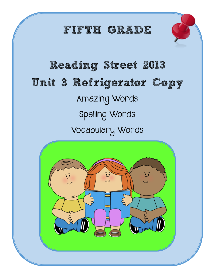## FIFTH GRADE



# Reading Street 2013 Unit 3 Refrigerator Copy Amazing Words Spelling Words Vocabulary Words

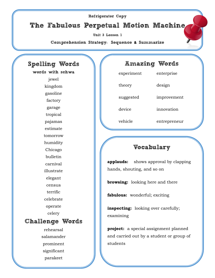#### Refrigerator Copy The Fabulous Perpetual Motion Machine Unit 3 Lesson 1 Comprehension Strategy**:** Sequence **&** Summarize Spelling Words words with schwa jewel kingdom gasoline factory garage tropical pajamas estimate tomorrow humidity Chicago bulletin carnival illustrate elegant census terrific celebrate operate celery Challenge Words rehearsal salamander prominent significant parakeet Amazing Words experiment enterprise theory design suggested improvement device innovation vehicle entrepreneur Vocabulary **applauds:** shows approval by clapping hands, shouting, and so on **browsing:** looking here and there **fabulous:** wonderful; exciting **inspecting:** looking over carefully; examining **project:** a special assignment planned and carried out by a student or group of students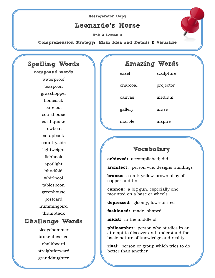## Refrigerator Copy Leonardo**'**s Horse

Unit 3 Lesson 2

Comprehension Strategy**:** Main Idea and Details **&** Visualize

### Spelling Words compound words waterproof teaspoon grasshopper homesick barefoot courthouse earthquake rowboat scrapbook countryside lightweight fishhook spotlight blindfold whirlpool tablespoon greenhouse postcard hummingbird thumbtack Challenge Words sledgehammer brokenhearted chalkboard straightforward

granddaughter

| <b>COMP</b> |           |
|-------------|-----------|
| easel       | sculpture |
| charcoal    | projector |
| canvas      | medium    |
| gallery     | muse      |
| marble      | inspire   |

Amazing Words

## Vocabulary

**achieved:** accomplished; did

**architect:** person who designs buildings

**bronze:** a dark yellow-brown alloy of copper and tin

**cannon:** a big gun, especially one mounted on a base or wheels

**depressed:** gloomy; low-spirited

**fashioned:** made, shaped

**midst:** in the middle of

**philosopher:** person who studies in an attempt to discover and understand the basic nature of knowledge and reality

**rival:** person or group which tries to do better than another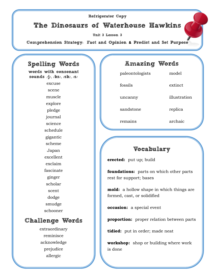#### Refrigerator Copy

The Dinosaurs of Waterhouse Hawkins

Unit 3 Lesson 3

Comprehension Strategy**:** Fact and Opinion **&** Predict and Set Purpose

#### Spelling Words

words with consonant sounds **/**j**/, /**ks**/, /**sk**/, /**s**/**

> excuse scene muscle explore pledge journal science schedule gigantic scheme Japan excellent exclaim fascinate ginger scholar scent dodge smudge schooner

#### Challenge Words

extraordinary reminisce acknowledge prejudice allergic

#### Amazing Words

paleontologists model

sandstone replica

remains archaic

fossils extinct

uncanny illustration

#### Vocabulary

**erected:** put up; build

**foundations:** parts on which other parts rest for support; bases

**mold:** a hollow shape in which things are formed, cast, or solidified

**occasion:** a special event

**proportion:** proper relation between parts

**tidied:** put in order; made neat

**workshop:** shop or building where work is done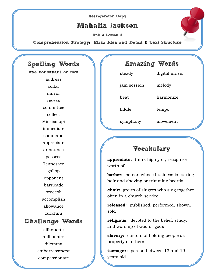## Refrigerator Copy Mahalia Jackson

Unit 3 Lesson 4

Comprehension Strategy**:** Main Idea and Detail **&** Text Structure

#### Spelling Words one consonant or two address collar mirror recess committee collect Mississippi immediate command appreciate announce possess Tennessee gallop opponent barricade broccoli accomplish allowance zucchini Challenge Words silhouette millionaire dilemma embarrassment

compassionate

# steady digital music jam session melody beat harmonize fiddle tempo symphony movement

Amazing Words

## Vocabulary

**appreciate:** think highly of; recognize worth of

**barber:** person whose business is cutting hair and shaving or trimming beards

**choir:** group of singers who sing together, often in a church service

**released:** published, performed, shown, sold

**religious:** devoted to the belief, study, and worship of God or gods

**slavery:** custom of holding people as property of others

**teenager:** person between 13 and 19 years old